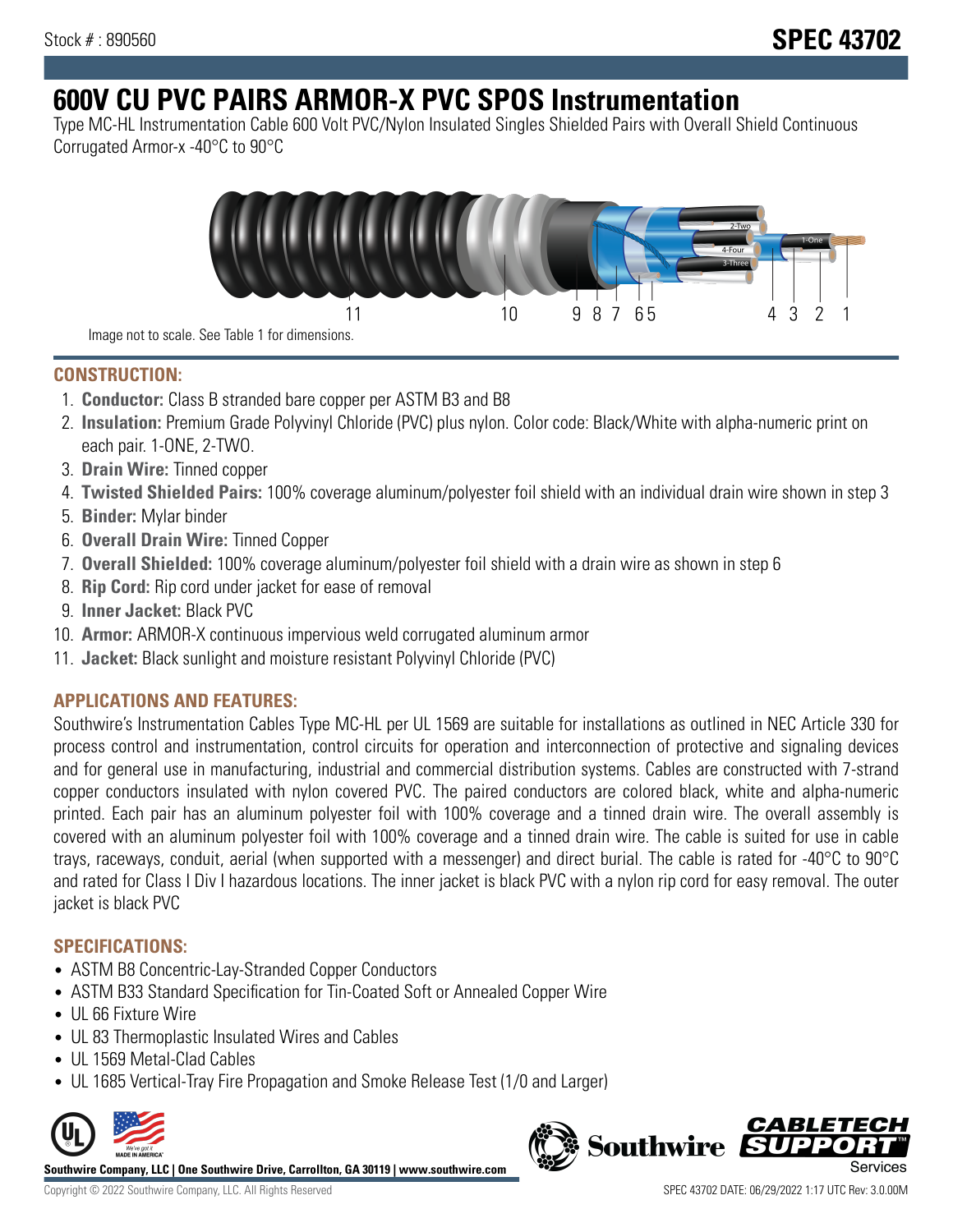# **600V CU PVC PAIRS ARMOR-X PVC SPOS Instrumentation**

Type MC-HL Instrumentation Cable 600 Volt PVC/Nylon Insulated Singles Shielded Pairs with Overall Shield Continuous Corrugated Armor-x -40°C to 90°C



**CONSTRUCTION:**

- 1. **Conductor:** Class B stranded bare copper per ASTM B3 and B8
- 2. **Insulation:** Premium Grade Polyvinyl Chloride (PVC) plus nylon. Color code: Black/White with alpha-numeric print on each pair. 1-ONE, 2-TWO.
- 3. **Drain Wire:** Tinned copper
- 4. **Twisted Shielded Pairs:** 100% coverage aluminum/polyester foil shield with an individual drain wire shown in step 3
- 5. **Binder:** Mylar binder
- 6. **Overall Drain Wire:** Tinned Copper
- 7. **Overall Shielded:** 100% coverage aluminum/polyester foil shield with a drain wire as shown in step 6
- 8. **Rip Cord:** Rip cord under jacket for ease of removal
- 9. **Inner Jacket:** Black PVC
- 10. **Armor:** ARMOR-X continuous impervious weld corrugated aluminum armor
- 11. **Jacket:** Black sunlight and moisture resistant Polyvinyl Chloride (PVC)

## **APPLICATIONS AND FEATURES:**

Southwire's Instrumentation Cables Type MC-HL per UL 1569 are suitable for installations as outlined in NEC Article 330 for process control and instrumentation, control circuits for operation and interconnection of protective and signaling devices and for general use in manufacturing, industrial and commercial distribution systems. Cables are constructed with 7-strand copper conductors insulated with nylon covered PVC. The paired conductors are colored black, white and alpha-numeric printed. Each pair has an aluminum polyester foil with 100% coverage and a tinned drain wire. The overall assembly is covered with an aluminum polyester foil with 100% coverage and a tinned drain wire. The cable is suited for use in cable trays, raceways, conduit, aerial (when supported with a messenger) and direct burial. The cable is rated for -40°C to 90°C and rated for Class I Div I hazardous locations. The inner jacket is black PVC with a nylon rip cord for easy removal. The outer jacket is black PVC

### **SPECIFICATIONS:**

- ASTM B8 Concentric-Lay-Stranded Copper Conductors
- ASTM B33 Standard Specification for Tin-Coated Soft or Annealed Copper Wire
- UL 66 Fixture Wire
- UL 83 Thermoplastic Insulated Wires and Cables
- UL 1569 Metal-Clad Cables
- UL 1685 Vertical-Tray Fire Propagation and Smoke Release Test (1/0 and Larger)



**Southwire Company, LLC | One Southwire Drive, Carrollton, GA 30119 | www.southwire.com**